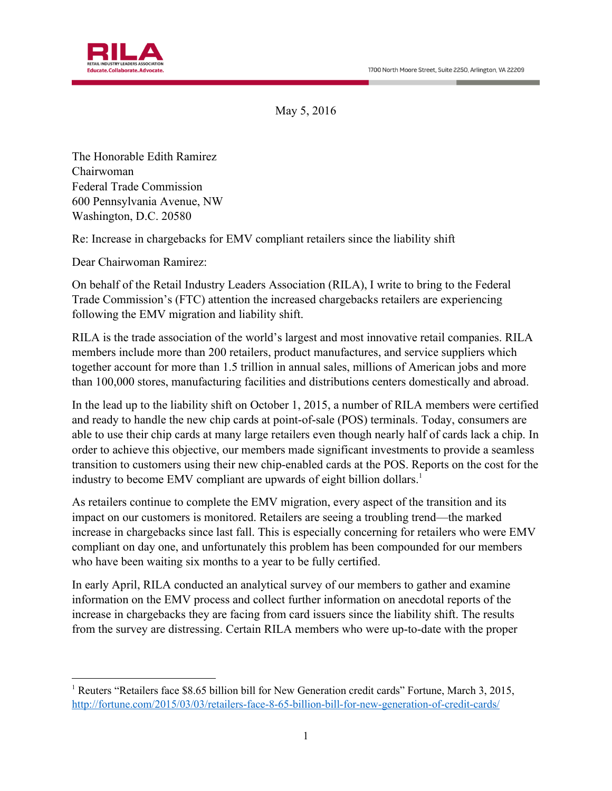

May 5, 2016

The Honorable Edith Ramirez Chairwoman Federal Trade Commission 600 Pennsylvania Avenue, NW Washington, D.C. 20580

Re: Increase in chargebacks for EMV compliant retailers since the liability shift

Dear Chairwoman Ramirez:

 $\overline{a}$ 

On behalf of the Retail Industry Leaders Association (RILA), I write to bring to the Federal Trade Commission's (FTC) attention the increased chargebacks retailers are experiencing following the EMV migration and liability shift.

RILA is the trade association of the world's largest and most innovative retail companies. RILA members include more than 200 retailers, product manufactures, and service suppliers which together account for more than 1.5 trillion in annual sales, millions of American jobs and more than 100,000 stores, manufacturing facilities and distributions centers domestically and abroad.

In the lead up to the liability shift on October 1, 2015, a number of RILA members were certified and ready to handle the new chip cards at point-of-sale (POS) terminals. Today, consumers are able to use their chip cards at many large retailers even though nearly half of cards lack a chip. In order to achieve this objective, our members made significant investments to provide a seamless transition to customers using their new chip-enabled cards at the POS. Reports on the cost for the industry to become EMV compliant are upwards of eight billion dollars.<sup>1</sup>

As retailers continue to complete the EMV migration, every aspect of the transition and its impact on our customers is monitored. Retailers are seeing a troubling trend—the marked increase in chargebacks since last fall. This is especially concerning for retailers who were EMV compliant on day one, and unfortunately this problem has been compounded for our members who have been waiting six months to a year to be fully certified.

In early April, RILA conducted an analytical survey of our members to gather and examine information on the EMV process and collect further information on anecdotal reports of the increase in chargebacks they are facing from card issuers since the liability shift. The results from the survey are distressing. Certain RILA members who were up-to-date with the proper

<sup>&</sup>lt;sup>1</sup> Reuters "Retailers face \$8.65 billion bill for New Generation credit cards" Fortune, March 3, 2015, <http://fortune.com/2015/03/03/retailers-face-8-65-billion-bill-for-new-generation-of-credit-cards/>